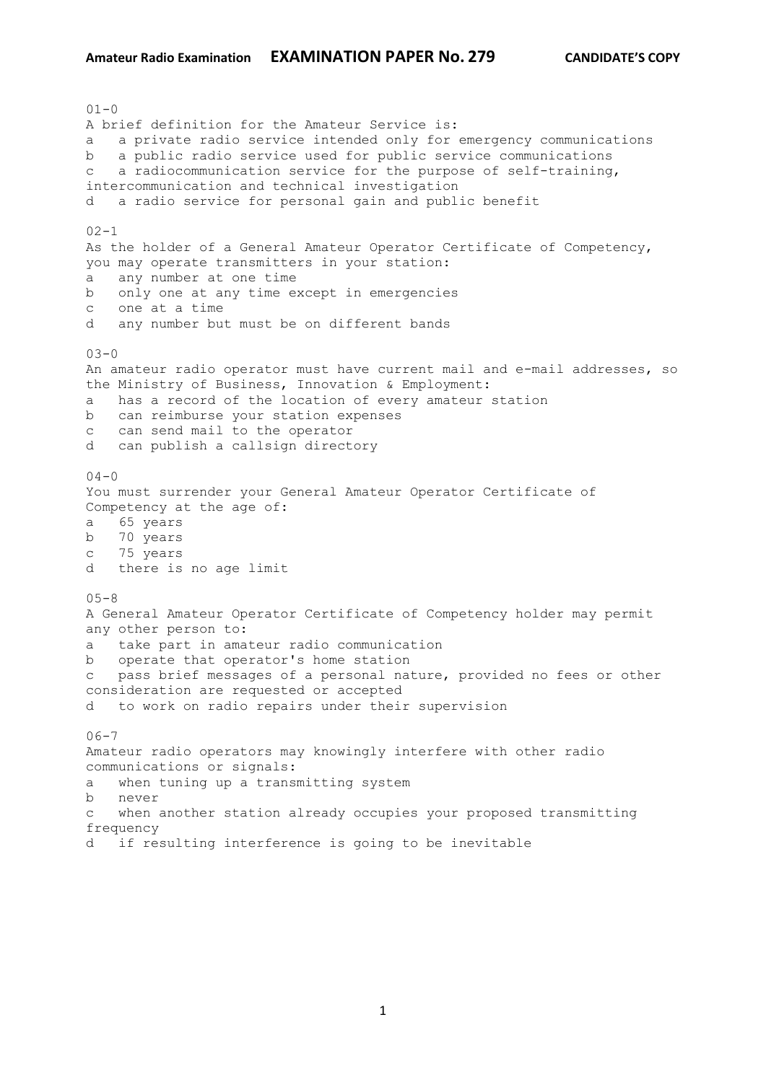$01 - 0$ A brief definition for the Amateur Service is: a a private radio service intended only for emergency communications b a public radio service used for public service communications c a radiocommunication service for the purpose of self-training, intercommunication and technical investigation d a radio service for personal gain and public benefit  $02 - 1$ As the holder of a General Amateur Operator Certificate of Competency, you may operate transmitters in your station: a any number at one time b only one at any time except in emergencies c one at a time d any number but must be on different bands  $03 - 0$ An amateur radio operator must have current mail and e-mail addresses, so the Ministry of Business, Innovation & Employment: a has a record of the location of every amateur station b can reimburse your station expenses c can send mail to the operator d can publish a callsign directory  $04 - 0$ You must surrender your General Amateur Operator Certificate of Competency at the age of: a 65 years b 70 years c 75 years d there is no age limit  $05 - 8$ A General Amateur Operator Certificate of Competency holder may permit any other person to: a take part in amateur radio communication b operate that operator's home station c pass brief messages of a personal nature, provided no fees or other consideration are requested or accepted d to work on radio repairs under their supervision  $06 - 7$ Amateur radio operators may knowingly interfere with other radio communications or signals: a when tuning up a transmitting system b never c when another station already occupies your proposed transmitting frequency d if resulting interference is going to be inevitable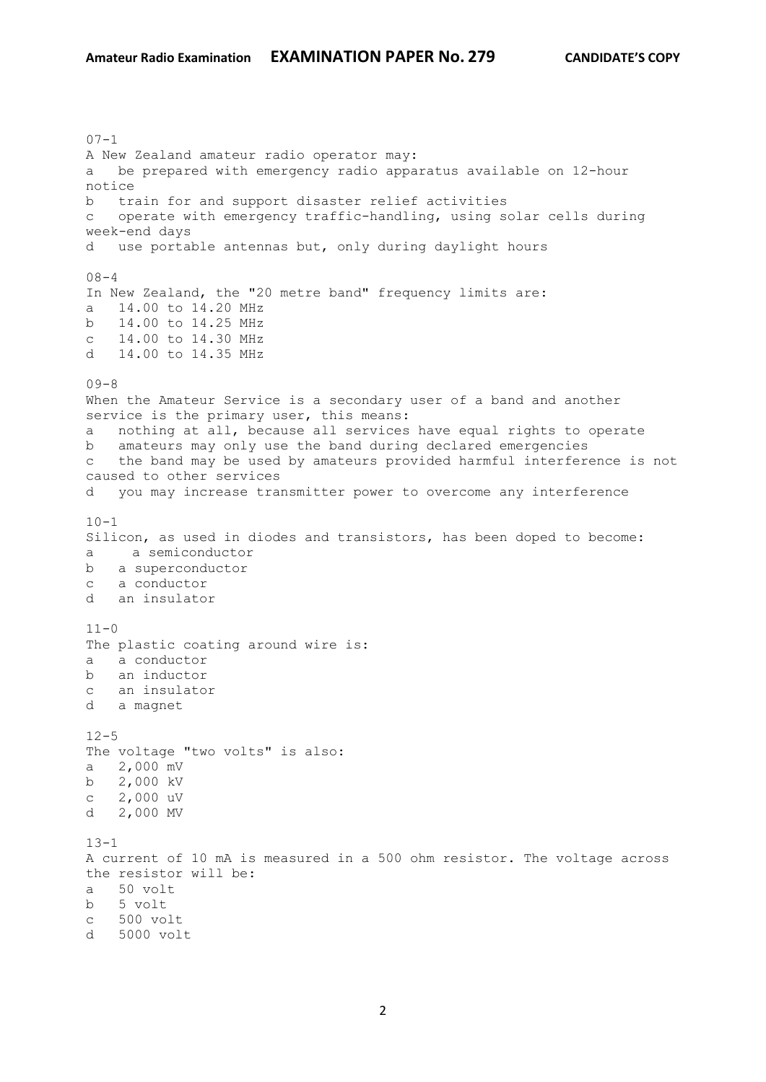$07 - 1$ A New Zealand amateur radio operator may: a be prepared with emergency radio apparatus available on 12-hour notice b train for and support disaster relief activities c operate with emergency traffic-handling, using solar cells during week-end days d use portable antennas but, only during daylight hours  $08 - 4$ In New Zealand, the "20 metre band" frequency limits are: a 14.00 to 14.20 MHz b 14.00 to 14.25 MHz c 14.00 to 14.30 MHz d 14.00 to 14.35 MHz  $09 - 8$ When the Amateur Service is a secondary user of a band and another service is the primary user, this means: a nothing at all, because all services have equal rights to operate b amateurs may only use the band during declared emergencies c the band may be used by amateurs provided harmful interference is not caused to other services d you may increase transmitter power to overcome any interference  $10 - 1$ Silicon, as used in diodes and transistors, has been doped to become: a a semiconductor b a superconductor c a conductor d an insulator  $11 - 0$ The plastic coating around wire is: a a conductor b an inductor c an insulator d a magnet  $12 - 5$ The voltage "two volts" is also: a 2,000 mV b 2,000 kV c 2,000 uV d 2,000 MV  $13 - 1$ A current of 10 mA is measured in a 500 ohm resistor. The voltage across the resistor will be: a 50 volt b 5 volt c 500 volt d 5000 volt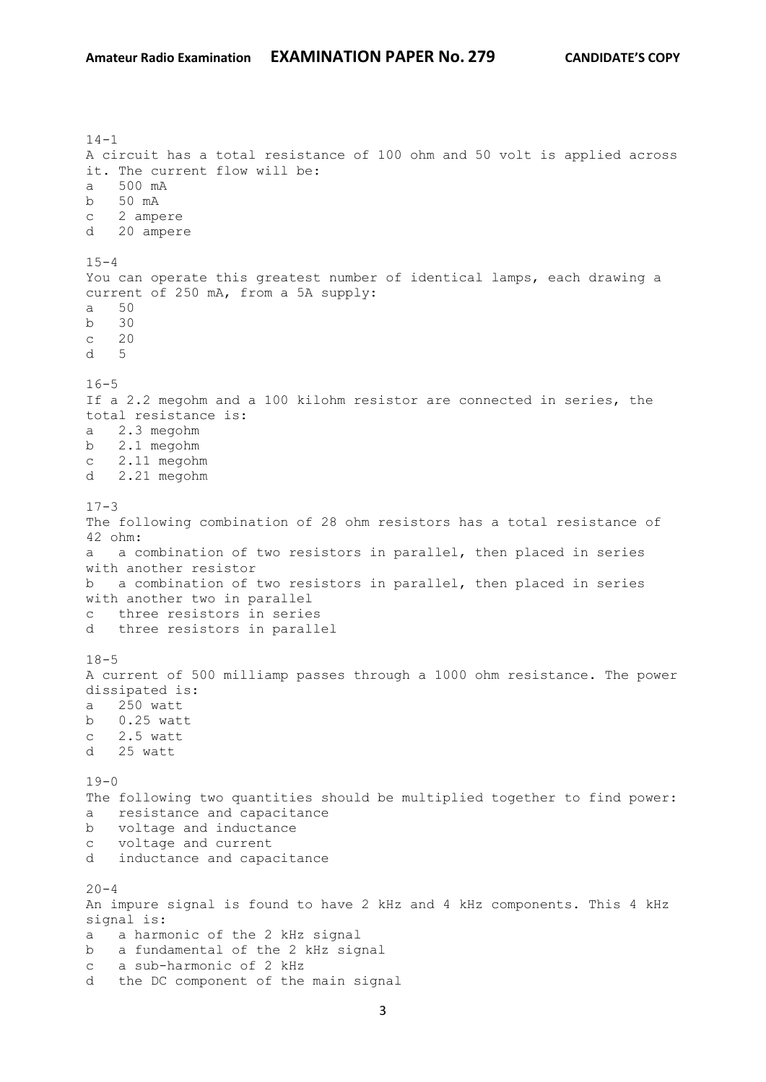$14-1$ A circuit has a total resistance of 100 ohm and 50 volt is applied across it. The current flow will be: a 500 mA b 50 mA c 2 ampere d 20 ampere  $15 - 4$ You can operate this greatest number of identical lamps, each drawing a current of 250 mA, from a 5A supply: a 50 b 30 c 20 d 5  $16 - 5$ If a 2.2 megohm and a 100 kilohm resistor are connected in series, the total resistance is: a 2.3 megohm b 2.1 megohm c 2.11 megohm d 2.21 megohm  $17-3$ The following combination of 28 ohm resistors has a total resistance of 42 ohm: a a combination of two resistors in parallel, then placed in series with another resistor b a combination of two resistors in parallel, then placed in series with another two in parallel c three resistors in series d three resistors in parallel  $18 - 5$ A current of 500 milliamp passes through a 1000 ohm resistance. The power dissipated is: a 250 watt b 0.25 watt c 2.5 watt d 25 watt  $19-0$ The following two quantities should be multiplied together to find power: a resistance and capacitance b voltage and inductance c voltage and current d inductance and capacitance  $20 - 4$ An impure signal is found to have 2 kHz and 4 kHz components. This 4 kHz signal is: a a harmonic of the 2 kHz signal b a fundamental of the 2 kHz signal c a sub-harmonic of 2 kHz d the DC component of the main signal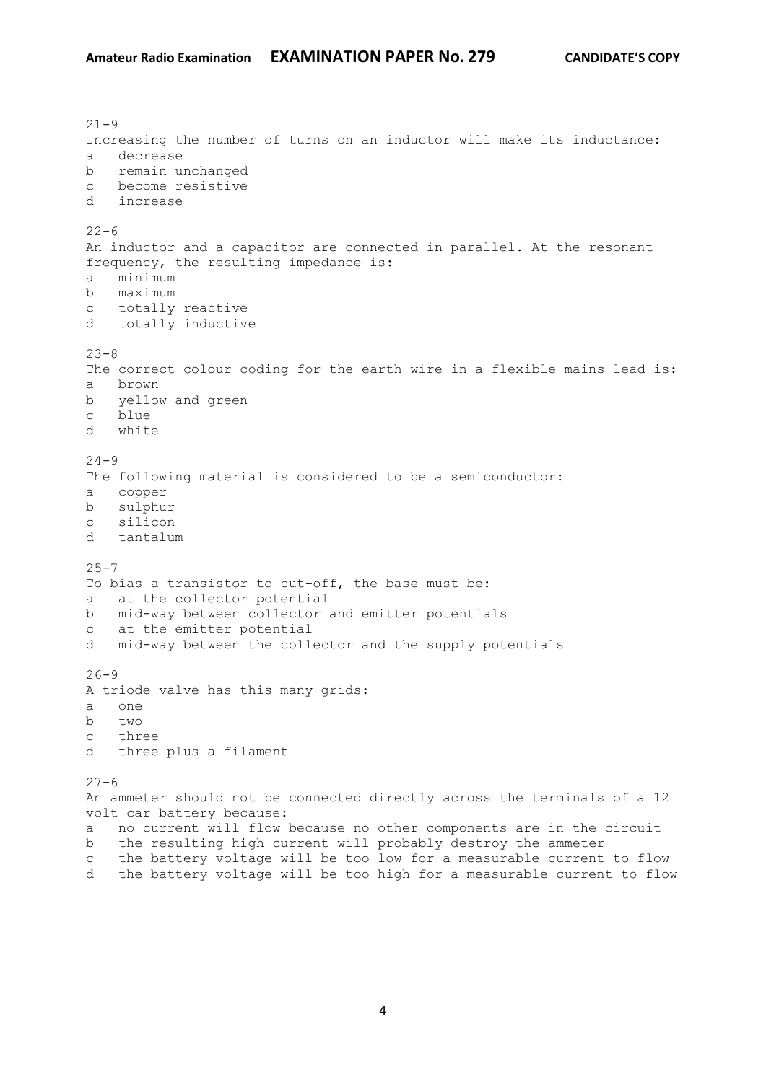$21 - 9$ Increasing the number of turns on an inductor will make its inductance: a decrease b remain unchanged c become resistive d increase  $22 - 6$ An inductor and a capacitor are connected in parallel. At the resonant frequency, the resulting impedance is: a minimum b maximum c totally reactive d totally inductive  $23 - 8$ The correct colour coding for the earth wire in a flexible mains lead is: a brown b yellow and green c blue d white  $24 - 9$ The following material is considered to be a semiconductor: a copper b sulphur c silicon d tantalum  $25 - 7$ To bias a transistor to cut-off, the base must be: a at the collector potential b mid-way between collector and emitter potentials c at the emitter potential d mid-way between the collector and the supply potentials  $26 - 9$ A triode valve has this many grids: a one b two c three d three plus a filament  $27 - 6$ An ammeter should not be connected directly across the terminals of a 12 volt car battery because: a no current will flow because no other components are in the circuit b the resulting high current will probably destroy the ammeter c the battery voltage will be too low for a measurable current to flow d the battery voltage will be too high for a measurable current to flow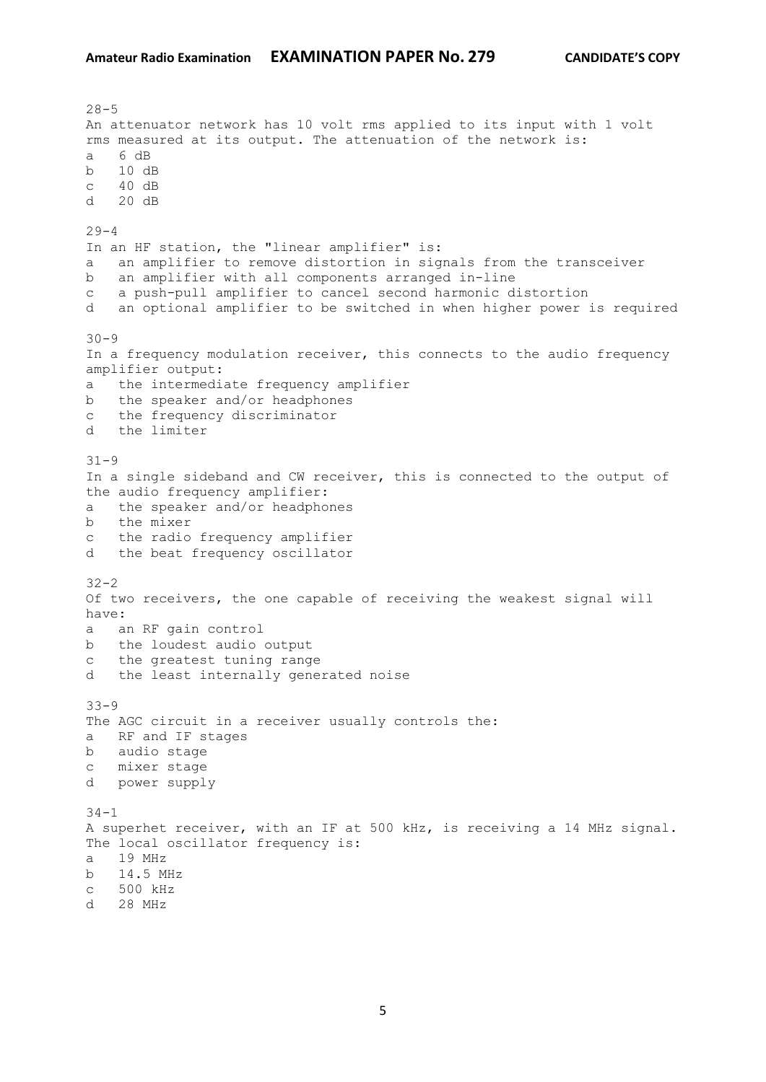$28 - 5$ An attenuator network has 10 volt rms applied to its input with 1 volt rms measured at its output. The attenuation of the network is: a 6 dB b 10 dB c 40 dB d 20 dB  $29 - 4$ In an HF station, the "linear amplifier" is: a an amplifier to remove distortion in signals from the transceiver b an amplifier with all components arranged in-line c a push-pull amplifier to cancel second harmonic distortion d an optional amplifier to be switched in when higher power is required  $30 - 9$ In a frequency modulation receiver, this connects to the audio frequency amplifier output: a the intermediate frequency amplifier b the speaker and/or headphones c the frequency discriminator d the limiter 31-9 In a single sideband and CW receiver, this is connected to the output of the audio frequency amplifier: a the speaker and/or headphones b the mixer c the radio frequency amplifier d the beat frequency oscillator 32-2 Of two receivers, the one capable of receiving the weakest signal will have: a an RF gain control b the loudest audio output c the greatest tuning range d the least internally generated noise 33-9 The AGC circuit in a receiver usually controls the: a RF and IF stages b audio stage c mixer stage d power supply  $34 - 1$ A superhet receiver, with an IF at 500 kHz, is receiving a 14 MHz signal. The local oscillator frequency is: a 19 MHz b 14.5 MHz c 500 kHz d 28 MHz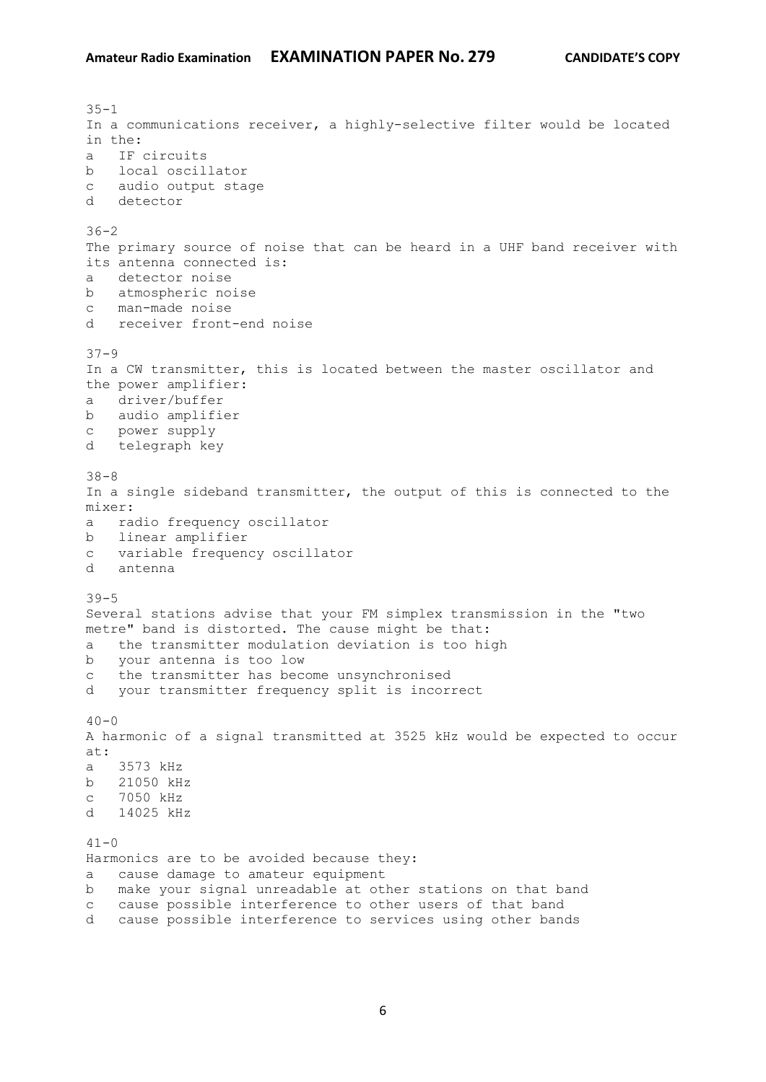$35 - 1$ In a communications receiver, a highly-selective filter would be located in the: a IF circuits b local oscillator c audio output stage d detector  $36 - 2$ The primary source of noise that can be heard in a UHF band receiver with its antenna connected is: a detector noise b atmospheric noise c man-made noise d receiver front-end noise 37-9 In a CW transmitter, this is located between the master oscillator and the power amplifier: a driver/buffer b audio amplifier c power supply d telegraph key 38-8 In a single sideband transmitter, the output of this is connected to the mixer: a radio frequency oscillator b linear amplifier c variable frequency oscillator d antenna 39-5 Several stations advise that your FM simplex transmission in the "two metre" band is distorted. The cause might be that: a the transmitter modulation deviation is too high b your antenna is too low c the transmitter has become unsynchronised d your transmitter frequency split is incorrect  $40 - 0$ A harmonic of a signal transmitted at 3525 kHz would be expected to occur at: a 3573 kHz b 21050 kHz c 7050 kHz d 14025 kHz  $41 - 0$ Harmonics are to be avoided because they: a cause damage to amateur equipment b make your signal unreadable at other stations on that band c cause possible interference to other users of that band d cause possible interference to services using other bands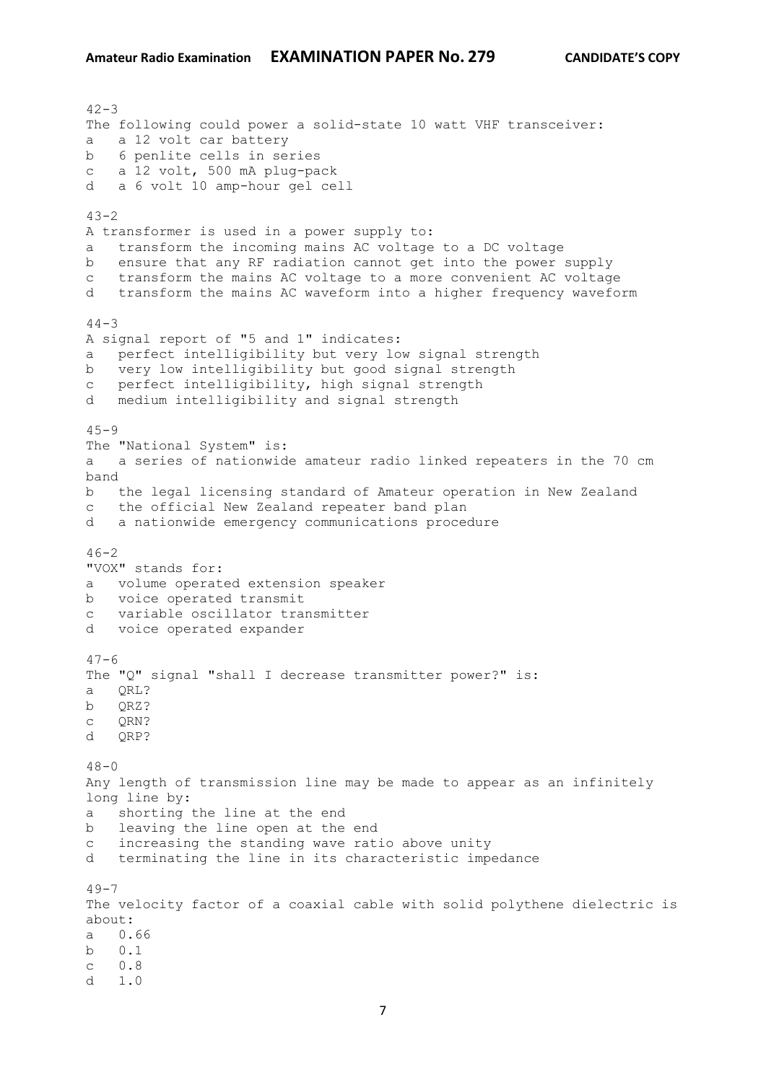$42 - 3$ The following could power a solid-state 10 watt VHF transceiver: a a 12 volt car battery b 6 penlite cells in series c a 12 volt, 500 mA plug-pack d a 6 volt 10 amp-hour gel cell  $43 - 2$ A transformer is used in a power supply to: a transform the incoming mains AC voltage to a DC voltage b ensure that any RF radiation cannot get into the power supply c transform the mains AC voltage to a more convenient AC voltage d transform the mains AC waveform into a higher frequency waveform  $44 - 3$ A signal report of "5 and 1" indicates: a perfect intelligibility but very low signal strength b very low intelligibility but good signal strength c perfect intelligibility, high signal strength d medium intelligibility and signal strength  $45 - 9$ The "National System" is: a a series of nationwide amateur radio linked repeaters in the 70 cm band b the legal licensing standard of Amateur operation in New Zealand c the official New Zealand repeater band plan d a nationwide emergency communications procedure  $46 - 2$ "VOX" stands for: a volume operated extension speaker b voice operated transmit c variable oscillator transmitter d voice operated expander  $47 - 6$ The "Q" signal "shall I decrease transmitter power?" is: a QRL? b QRZ? c QRN? d ORP?  $48 - 0$ Any length of transmission line may be made to appear as an infinitely long line by: a shorting the line at the end b leaving the line open at the end c increasing the standing wave ratio above unity d terminating the line in its characteristic impedance  $49 - 7$ The velocity factor of a coaxial cable with solid polythene dielectric is about: a 0.66 b 0.1 c 0.8  $d = 1.0$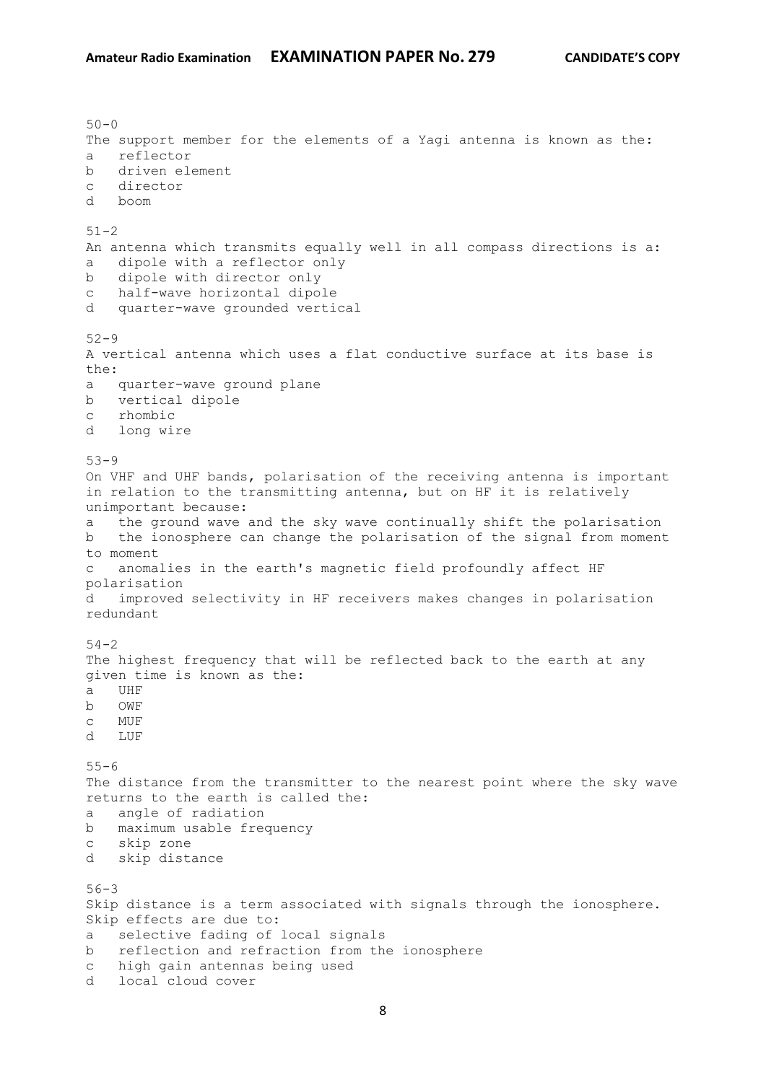$50 - 0$ The support member for the elements of a Yagi antenna is known as the: a reflector b driven element c director d boom  $51 - 2$ An antenna which transmits equally well in all compass directions is a: a dipole with a reflector only b dipole with director only c half-wave horizontal dipole d quarter-wave grounded vertical 52-9 A vertical antenna which uses a flat conductive surface at its base is the: a quarter-wave ground plane b vertical dipole c rhombic d long wire 53-9 On VHF and UHF bands, polarisation of the receiving antenna is important in relation to the transmitting antenna, but on HF it is relatively unimportant because: a the ground wave and the sky wave continually shift the polarisation b the ionosphere can change the polarisation of the signal from moment to moment c anomalies in the earth's magnetic field profoundly affect HF polarisation d improved selectivity in HF receivers makes changes in polarisation redundant  $54 - 2$ The highest frequency that will be reflected back to the earth at any given time is known as the: a UHF b OWF c MUF d LUF  $55 - 6$ The distance from the transmitter to the nearest point where the sky wave returns to the earth is called the: a angle of radiation b maximum usable frequency c skip zone d skip distance 56-3 Skip distance is a term associated with signals through the ionosphere. Skip effects are due to: a selective fading of local signals b reflection and refraction from the ionosphere c high gain antennas being used d local cloud cover